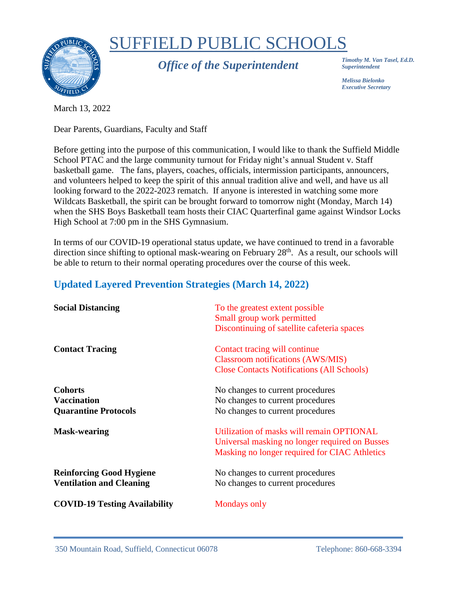

# SUFFIELD PUBLIC SCHOOLS

*Office of the Superintendent*

*Timothy M. Van Tasel, Ed.D. Superintendent*

*Melissa Bielonko Executive Secretary*

March 13, 2022

Dear Parents, Guardians, Faculty and Staff

Before getting into the purpose of this communication, I would like to thank the Suffield Middle School PTAC and the large community turnout for Friday night's annual Student v. Staff basketball game. The fans, players, coaches, officials, intermission participants, announcers, and volunteers helped to keep the spirit of this annual tradition alive and well, and have us all looking forward to the 2022-2023 rematch. If anyone is interested in watching some more Wildcats Basketball, the spirit can be brought forward to tomorrow night (Monday, March 14) when the SHS Boys Basketball team hosts their CIAC Quarterfinal game against Windsor Locks High School at 7:00 pm in the SHS Gymnasium.

In terms of our COVID-19 operational status update, we have continued to trend in a favorable direction since shifting to optional mask-wearing on February 28<sup>th</sup>. As a result, our schools will be able to return to their normal operating procedures over the course of this week.

#### **Updated Layered Prevention Strategies (March 14, 2022)**

| <b>Social Distancing</b>                                            | To the greatest extent possible<br>Small group work permitted<br>Discontinuing of satellite cafeteria spaces                                 |
|---------------------------------------------------------------------|----------------------------------------------------------------------------------------------------------------------------------------------|
| <b>Contact Tracing</b>                                              | Contact tracing will continue<br><b>Classroom notifications (AWS/MIS)</b><br><b>Close Contacts Notifications (All Schools)</b>               |
| <b>Cohorts</b><br><b>Vaccination</b><br><b>Quarantine Protocols</b> | No changes to current procedures<br>No changes to current procedures<br>No changes to current procedures                                     |
| <b>Mask-wearing</b>                                                 | Utilization of masks will remain OPTIONAL<br>Universal masking no longer required on Busses<br>Masking no longer required for CIAC Athletics |
| <b>Reinforcing Good Hygiene</b><br><b>Ventilation and Cleaning</b>  | No changes to current procedures<br>No changes to current procedures                                                                         |
| <b>COVID-19 Testing Availability</b>                                | Mondays only                                                                                                                                 |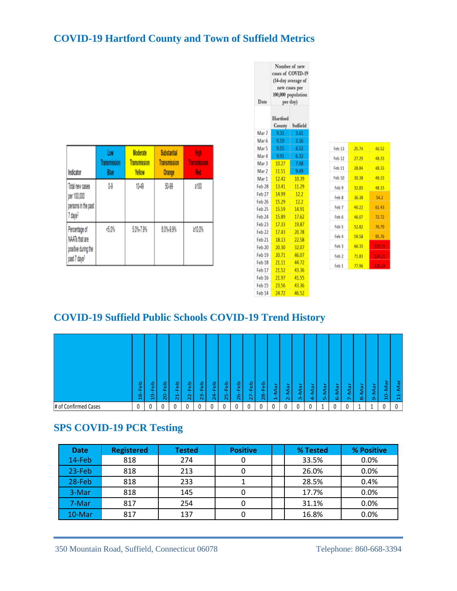## **COVID-19 Hartford County and Town of Suffield Metrics**

| Indicator                                                                          | Low<br><b>Transmission</b><br>Blue | <b>Moderate</b><br><b>Transmission</b><br>Yellow | <b>Substantial</b><br><b>Transmission</b><br><b>Orange</b> | High<br><b>Transmission</b><br>Red |
|------------------------------------------------------------------------------------|------------------------------------|--------------------------------------------------|------------------------------------------------------------|------------------------------------|
| Total new cases<br>per 100,000<br>persons in the past<br>7 days <sup>2</sup>       | 0.9                                | 10-49                                            | 50-99                                                      | ≥100                               |
| Percentage of<br>NAATs that are<br>positive during the<br>past 7 days <sup>3</sup> | <5.0%                              | 5.0%-7.9%                                        | 8.0%-9.9%                                                  | 210.0%                             |

| Date   | <b>INBIDDET OF DEM</b><br>cases of COVID-19<br>(14-day average of<br>new cases per<br>100,000 population<br>per day) |          |  |  |  |  |
|--------|----------------------------------------------------------------------------------------------------------------------|----------|--|--|--|--|
|        | Hartford<br>County                                                                                                   | Suffield |  |  |  |  |
| Mar 7  | 9.31                                                                                                                 | 3.61     |  |  |  |  |
| Mar 6  | 9.19                                                                                                                 | 3.16     |  |  |  |  |
| Mar 5  | 9.55                                                                                                                 | 4.52     |  |  |  |  |
| Mar 4  | 9.91                                                                                                                 | 6.32     |  |  |  |  |
| Mar 3  | 10.27                                                                                                                | 7.68     |  |  |  |  |
| Mar 2  | 11.51                                                                                                                | 9.49     |  |  |  |  |
| Mar 1  | 12.42                                                                                                                | 10.39    |  |  |  |  |
| Feb 28 | 13.41                                                                                                                | 11.29    |  |  |  |  |
| Feb 27 | 14.99                                                                                                                | 12.2     |  |  |  |  |
| Feb 26 | 15.29                                                                                                                | 12.2     |  |  |  |  |
| Feb 25 | 15.59                                                                                                                | 14.91    |  |  |  |  |
| Feb 24 | 15.89                                                                                                                | 17.62    |  |  |  |  |
| Feb 23 | 17.33                                                                                                                | 19.87    |  |  |  |  |
| Feb 22 | 17.43                                                                                                                | 20.78    |  |  |  |  |
| Feb 21 | 18.13                                                                                                                | 22.58    |  |  |  |  |
| Feb 20 | 20.30                                                                                                                | 32.07    |  |  |  |  |
| Feb 19 | 20.71                                                                                                                | 46.07    |  |  |  |  |
| Feb 18 | 21.11                                                                                                                | 44.72    |  |  |  |  |
| Feb 17 | 21.52                                                                                                                | 43.36    |  |  |  |  |
| Feb 16 | 21.97                                                                                                                | 41.55    |  |  |  |  |
| Feb 15 | 23.56                                                                                                                | 43.36    |  |  |  |  |
| Feb 14 | 24.72                                                                                                                | 46.52    |  |  |  |  |

 $52$ 8,33 8.33 1,33 .33  $\frac{1}{2}$ ,43 .72 79

 $\mathbf{M}$  and  $\mathbf{M}$  and  $\mathbf{M}$ 

## **COVID-19 Suffield Public Schools COVID-19 Trend History**

|                      | မိ<br>щ<br>$\infty$<br>$\mathbf{\mathbf{H}}$ | $\omega$<br>ú.<br>ō<br>$\blacksquare$ | Ω<br>$\overline{\mathbf{v}}$<br>ш.<br>∼<br>Ñ | Feb<br>↽<br>$\mathbf{\tilde{c}}$ | 읍<br>ш.<br>N<br>$\sim$ | $\omega$<br>m<br>$\sim$ | Feb<br>4<br>Ñ | ء<br>$\overline{\mathbf{u}}$<br>ú.<br>$\sim$ | ≏<br>$\overline{\mathbf{v}}$<br>ဖ<br>$\sim$ | Feb<br>$\sim$ | θĐ<br>ú.<br>$\infty$<br>$\sim$ | ∼<br>ω<br>-<br>-<br>ᆏ | $\sim$<br>Φ,<br>ے<br>$\sim$ | $\sim$<br><b>W</b><br>-<br>-<br>$\sim$ | ┶<br>Ø<br>↔ | $\sim$<br><b>ID</b><br>ıñ | $\sim$<br><b>IQ</b><br>c.,<br>O | s.<br>$\omega$<br>- | $\sim$<br><b>ID</b><br>∞ | ┶<br>w<br>Ō | $\sim$<br>$\omega$<br>o<br>$\blacksquare$ | ∼<br>$\overline{\omega}$<br>$\blacksquare$<br>∠<br>$\blacksquare$<br>$\mathbf{\mathbf{d}}$ |
|----------------------|----------------------------------------------|---------------------------------------|----------------------------------------------|----------------------------------|------------------------|-------------------------|---------------|----------------------------------------------|---------------------------------------------|---------------|--------------------------------|-----------------------|-----------------------------|----------------------------------------|-------------|---------------------------|---------------------------------|---------------------|--------------------------|-------------|-------------------------------------------|--------------------------------------------------------------------------------------------|
| # of Confirmed Cases | 0                                            |                                       | $\sqrt{2}$                                   | $\sqrt{2}$                       | r<br>u                 |                         | 0             |                                              | $\Omega$<br>u                               |               | $\Omega$<br>U                  | $\sim$                |                             |                                        | $\sim$      |                           | $\mathbf{0}$                    |                     |                          |             |                                           |                                                                                            |

#### **SPS COVID-19 PCR Testing**

|                                 | Feb<br>8ì | Feb<br>ğ          | Feb<br>$20 -$ | Feb<br>$\mathbf{1}$<br>ਸ਼ੈ | Feb<br>22 | Feb<br>23     | $24 - Feb$ | Feb<br>in.<br>$\sim$ | Feb<br>$26 -$ | Feb<br>λ<br>N   | $28 - Feb$ | $1 - Max$ | Mar<br>$\overline{\mathsf{N}}$ | Mar<br>m     | 4-Mar    | Nar<br>ι'n | Mar<br>O | -Mar | Nar<br>ထံ | Mar<br>Ō   | 10-Mar       | Nar<br>ਸ਼ੈ |   |  |
|---------------------------------|-----------|-------------------|---------------|----------------------------|-----------|---------------|------------|----------------------|---------------|-----------------|------------|-----------|--------------------------------|--------------|----------|------------|----------|------|-----------|------------|--------------|------------|---|--|
| of Confirmed Cases              |           | $\mathbf{0}$      | 0             | 0                          | 0         | $\mathbf{0}$  | 0          | 0                    | $\mathbf{0}$  | <sup>0</sup>    | 0          | 0         | $\Omega$                       | $\mathbf{0}$ | 0        | 0          |          | 0    | 0         |            | $\mathbf{1}$ | 0          | 0 |  |
| <b>SPS COVID-19 PCR Testing</b> |           |                   |               |                            |           |               |            |                      |               |                 |            |           |                                |              |          |            |          |      |           |            |              |            |   |  |
| <b>Date</b>                     |           | <b>Registered</b> |               |                            |           | <b>Tested</b> |            |                      |               | <b>Positive</b> |            |           |                                |              | % Tested |            |          |      |           | % Positive |              |            |   |  |
| 14-Feb                          | 818       |                   |               |                            | 274       |               |            |                      | 0             |                 |            |           |                                |              | 33.5%    |            |          |      |           | $0.0\%$    |              |            |   |  |
| $23-Feb$                        | 818       |                   |               |                            | 213       |               |            |                      |               |                 | 0          |           |                                |              |          |            | 26.0%    |      |           | 0.0%       |              |            |   |  |
| 28-Feb                          | 818       |                   |               | 233                        |           |               |            |                      | $\mathbf{1}$  |                 |            |           |                                |              | 28.5%    |            |          |      |           | 0.4%       |              |            |   |  |
| 3-Mar                           |           | 818               |               |                            | 145       |               |            |                      | 0             |                 |            |           |                                |              | 17.7%    |            |          |      |           | 0.0%       |              |            |   |  |
| 7-Mar                           |           | 817               |               |                            |           | 254           |            |                      |               | 0               |            |           |                                |              |          | 31.1%      |          |      | 0.0%      |            |              |            |   |  |
| 10-Mar                          | 817       |                   | 137           |                            |           |               |            | 0                    |               |                 |            |           |                                | 16.8%        |          |            | 0.0%     |      |           |            |              |            |   |  |